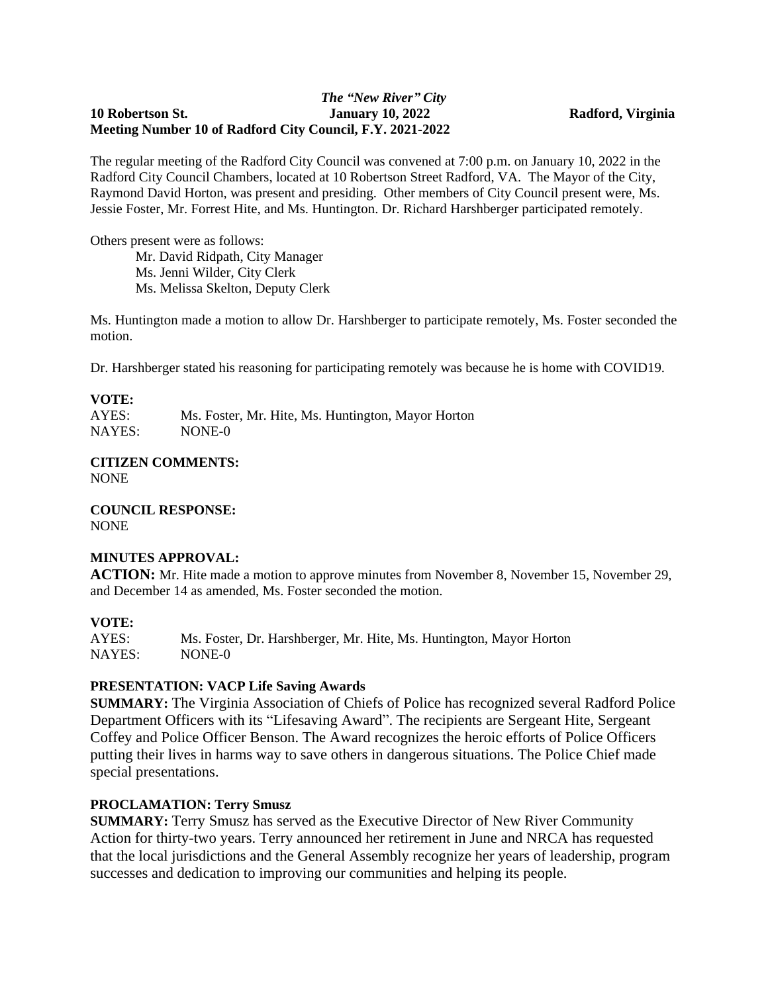#### *The "New River" City* **10 Robertson St. January 10, 2022 Radford, Virginia Meeting Number 10 of Radford City Council, F.Y. 2021-2022**

The regular meeting of the Radford City Council was convened at 7:00 p.m. on January 10, 2022 in the Radford City Council Chambers, located at 10 Robertson Street Radford, VA. The Mayor of the City, Raymond David Horton, was present and presiding. Other members of City Council present were, Ms. Jessie Foster, Mr. Forrest Hite, and Ms. Huntington. Dr. Richard Harshberger participated remotely.

Others present were as follows:

Mr. David Ridpath, City Manager Ms. Jenni Wilder, City Clerk Ms. Melissa Skelton, Deputy Clerk

Ms. Huntington made a motion to allow Dr. Harshberger to participate remotely, Ms. Foster seconded the motion.

Dr. Harshberger stated his reasoning for participating remotely was because he is home with COVID19.

# **VOTE:**

Ms. Foster, Mr. Hite, Ms. Huntington, Mayor Horton NAYES: NONE-0

#### **CITIZEN COMMENTS:** NONE

**COUNCIL RESPONSE:** NONE

### **MINUTES APPROVAL:**

**ACTION:** Mr. Hite made a motion to approve minutes from November 8, November 15, November 29, and December 14 as amended, Ms. Foster seconded the motion.

# **VOTE:**

AYES: Ms. Foster, Dr. Harshberger, Mr. Hite, Ms. Huntington, Mayor Horton NAYES: NONE-0

# **PRESENTATION: VACP Life Saving Awards**

**SUMMARY:** The Virginia Association of Chiefs of Police has recognized several Radford Police Department Officers with its "Lifesaving Award". The recipients are Sergeant Hite, Sergeant Coffey and Police Officer Benson. The Award recognizes the heroic efforts of Police Officers putting their lives in harms way to save others in dangerous situations. The Police Chief made special presentations.

# **PROCLAMATION: Terry Smusz**

**SUMMARY:** Terry Smusz has served as the Executive Director of New River Community Action for thirty-two years. Terry announced her retirement in June and NRCA has requested that the local jurisdictions and the General Assembly recognize her years of leadership, program successes and dedication to improving our communities and helping its people.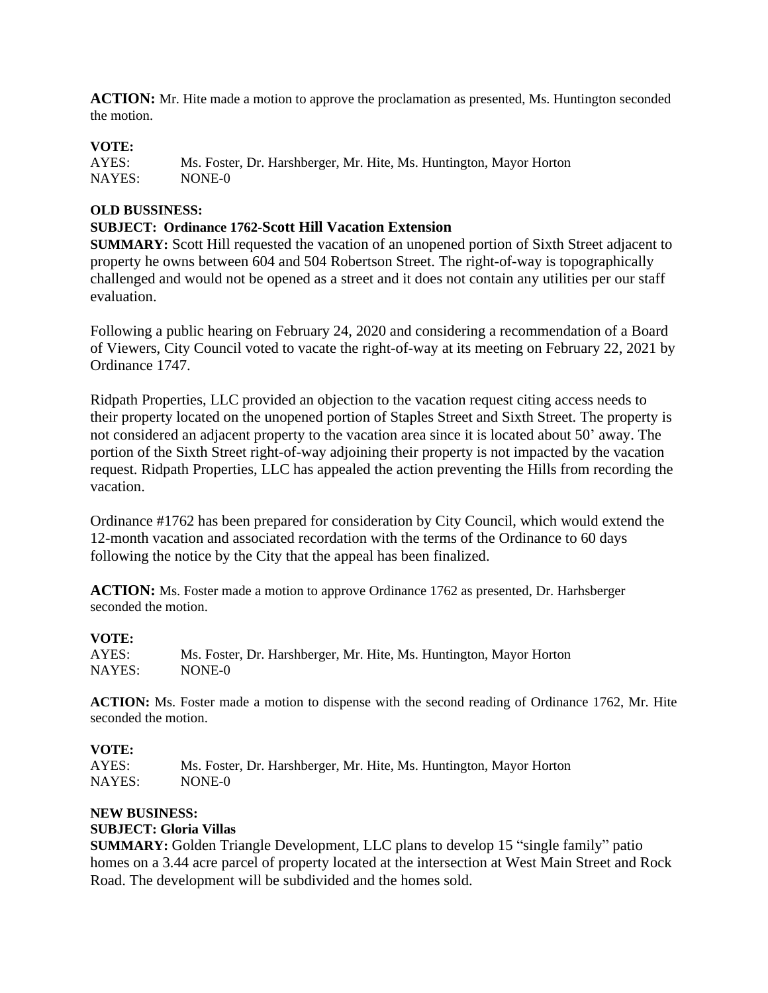**ACTION:** Mr. Hite made a motion to approve the proclamation as presented, Ms. Huntington seconded the motion.

# **VOTE:**

AYES: Ms. Foster, Dr. Harshberger, Mr. Hite, Ms. Huntington, Mayor Horton NAYES: NONE-0

### **OLD BUSSINESS:**

## **SUBJECT: Ordinance 1762-Scott Hill Vacation Extension**

**SUMMARY:** Scott Hill requested the vacation of an unopened portion of Sixth Street adjacent to property he owns between 604 and 504 Robertson Street. The right-of-way is topographically challenged and would not be opened as a street and it does not contain any utilities per our staff evaluation.

Following a public hearing on February 24, 2020 and considering a recommendation of a Board of Viewers, City Council voted to vacate the right-of-way at its meeting on February 22, 2021 by Ordinance 1747.

Ridpath Properties, LLC provided an objection to the vacation request citing access needs to their property located on the unopened portion of Staples Street and Sixth Street. The property is not considered an adjacent property to the vacation area since it is located about 50' away. The portion of the Sixth Street right-of-way adjoining their property is not impacted by the vacation request. Ridpath Properties, LLC has appealed the action preventing the Hills from recording the vacation.

Ordinance #1762 has been prepared for consideration by City Council, which would extend the 12-month vacation and associated recordation with the terms of the Ordinance to 60 days following the notice by the City that the appeal has been finalized.

**ACTION:** Ms. Foster made a motion to approve Ordinance 1762 as presented, Dr. Harhsberger seconded the motion.

**VOTE:** Ms. Foster, Dr. Harshberger, Mr. Hite, Ms. Huntington, Mayor Horton NAYES: NONE-0

**ACTION:** Ms. Foster made a motion to dispense with the second reading of Ordinance 1762, Mr. Hite seconded the motion.

#### **VOTE:**

AYES: Ms. Foster, Dr. Harshberger, Mr. Hite, Ms. Huntington, Mayor Horton NAYES: NONE-0

#### **NEW BUSINESS:**

#### **SUBJECT: Gloria Villas**

**SUMMARY:** Golden Triangle Development, LLC plans to develop 15 "single family" patio homes on a 3.44 acre parcel of property located at the intersection at West Main Street and Rock Road. The development will be subdivided and the homes sold.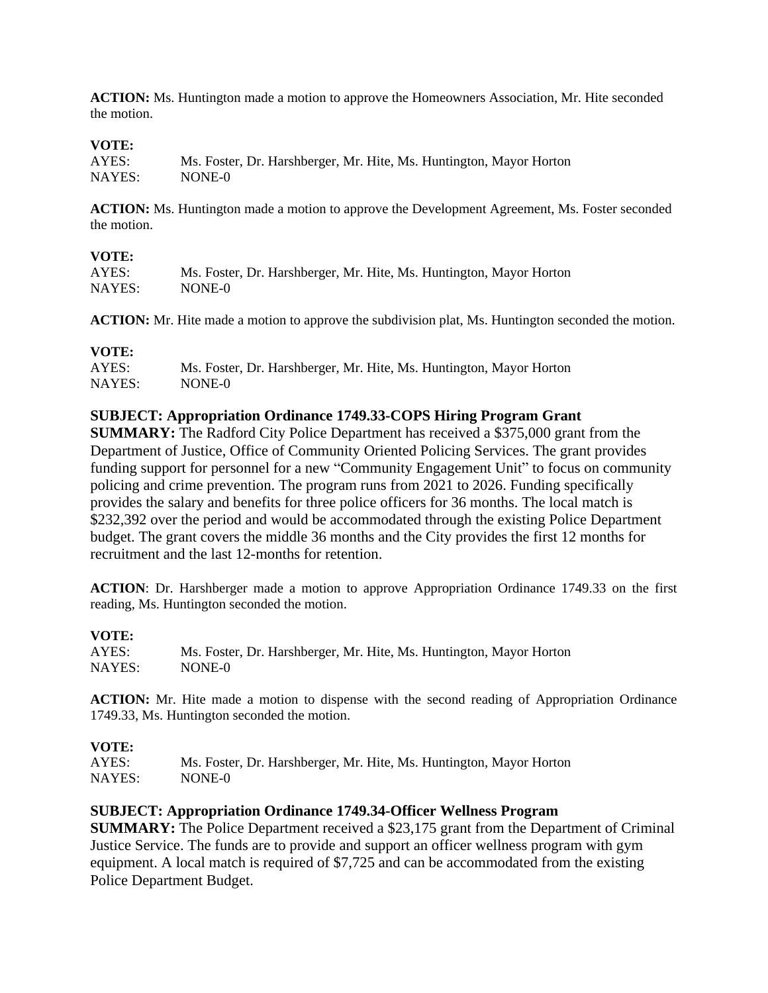**ACTION:** Ms. Huntington made a motion to approve the Homeowners Association, Mr. Hite seconded the motion.

#### **VOTE:**

| AYES:  | Ms. Foster, Dr. Harshberger, Mr. Hite, Ms. Huntington, Mayor Horton |
|--------|---------------------------------------------------------------------|
| NAYES: | NONE-0                                                              |

**ACTION:** Ms. Huntington made a motion to approve the Development Agreement, Ms. Foster seconded the motion.

#### **VOTE:**

| AYES:  | Ms. Foster, Dr. Harshberger, Mr. Hite, Ms. Huntington, Mayor Horton |
|--------|---------------------------------------------------------------------|
| NAYES: | NONE-0                                                              |

**ACTION:** Mr. Hite made a motion to approve the subdivision plat, Ms. Huntington seconded the motion.

## **VOTE:**

| AYES:  | Ms. Foster, Dr. Harshberger, Mr. Hite, Ms. Huntington, Mayor Horton |
|--------|---------------------------------------------------------------------|
| NAYES: | NONE-0                                                              |

#### **SUBJECT: Appropriation Ordinance 1749.33-COPS Hiring Program Grant**

**SUMMARY:** The Radford City Police Department has received a \$375,000 grant from the Department of Justice, Office of Community Oriented Policing Services. The grant provides funding support for personnel for a new "Community Engagement Unit" to focus on community policing and crime prevention. The program runs from 2021 to 2026. Funding specifically provides the salary and benefits for three police officers for 36 months. The local match is \$232,392 over the period and would be accommodated through the existing Police Department budget. The grant covers the middle 36 months and the City provides the first 12 months for recruitment and the last 12-months for retention.

**ACTION**: Dr. Harshberger made a motion to approve Appropriation Ordinance 1749.33 on the first reading, Ms. Huntington seconded the motion.

#### **VOTE:**

AYES: Ms. Foster, Dr. Harshberger, Mr. Hite, Ms. Huntington, Mayor Horton NAYES: NONE-0

**ACTION:** Mr. Hite made a motion to dispense with the second reading of Appropriation Ordinance 1749.33, Ms. Huntington seconded the motion.

#### **VOTE:**

AYES: Ms. Foster, Dr. Harshberger, Mr. Hite, Ms. Huntington, Mayor Horton NAYES: NONE-0

#### **SUBJECT: Appropriation Ordinance 1749.34-Officer Wellness Program**

**SUMMARY:** The Police Department received a \$23,175 grant from the Department of Criminal Justice Service. The funds are to provide and support an officer wellness program with gym equipment. A local match is required of \$7,725 and can be accommodated from the existing Police Department Budget.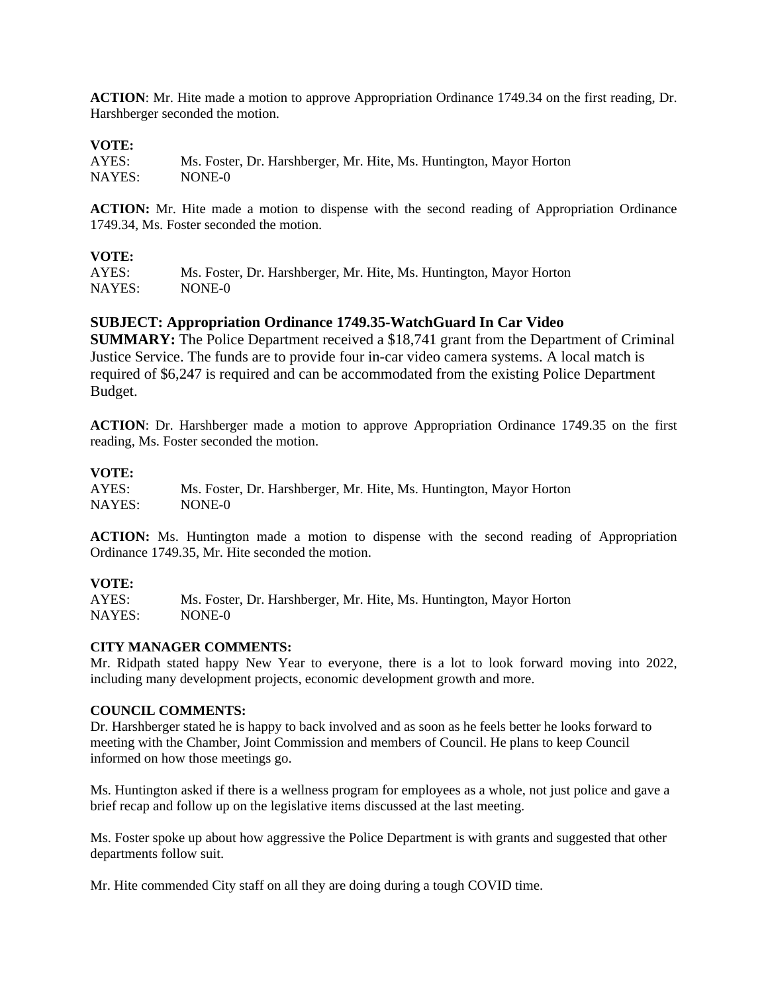**ACTION**: Mr. Hite made a motion to approve Appropriation Ordinance 1749.34 on the first reading, Dr. Harshberger seconded the motion.

#### **VOTE:**

| AYES:  | Ms. Foster, Dr. Harshberger, Mr. Hite, Ms. Huntington, Mayor Horton |
|--------|---------------------------------------------------------------------|
| NAYES: | NONE-0                                                              |

**ACTION:** Mr. Hite made a motion to dispense with the second reading of Appropriation Ordinance 1749.34, Ms. Foster seconded the motion.

#### **VOTE:**

AYES: Ms. Foster, Dr. Harshberger, Mr. Hite, Ms. Huntington, Mayor Horton NAYES: NONE-0

#### **SUBJECT: Appropriation Ordinance 1749.35-WatchGuard In Car Video**

**SUMMARY:** The Police Department received a \$18,741 grant from the Department of Criminal Justice Service. The funds are to provide four in-car video camera systems. A local match is required of \$6,247 is required and can be accommodated from the existing Police Department Budget.

**ACTION**: Dr. Harshberger made a motion to approve Appropriation Ordinance 1749.35 on the first reading, Ms. Foster seconded the motion.

#### **VOTE:**

| AYES:  | Ms. Foster, Dr. Harshberger, Mr. Hite, Ms. Huntington, Mayor Horton |
|--------|---------------------------------------------------------------------|
| NAYES: | NONE-0                                                              |

**ACTION:** Ms. Huntington made a motion to dispense with the second reading of Appropriation Ordinance 1749.35, Mr. Hite seconded the motion.

#### **VOTE:**

AYES: Ms. Foster, Dr. Harshberger, Mr. Hite, Ms. Huntington, Mayor Horton NAYES: NONE-0

#### **CITY MANAGER COMMENTS:**

Mr. Ridpath stated happy New Year to everyone, there is a lot to look forward moving into 2022, including many development projects, economic development growth and more.

#### **COUNCIL COMMENTS:**

Dr. Harshberger stated he is happy to back involved and as soon as he feels better he looks forward to meeting with the Chamber, Joint Commission and members of Council. He plans to keep Council informed on how those meetings go.

Ms. Huntington asked if there is a wellness program for employees as a whole, not just police and gave a brief recap and follow up on the legislative items discussed at the last meeting.

Ms. Foster spoke up about how aggressive the Police Department is with grants and suggested that other departments follow suit.

Mr. Hite commended City staff on all they are doing during a tough COVID time.